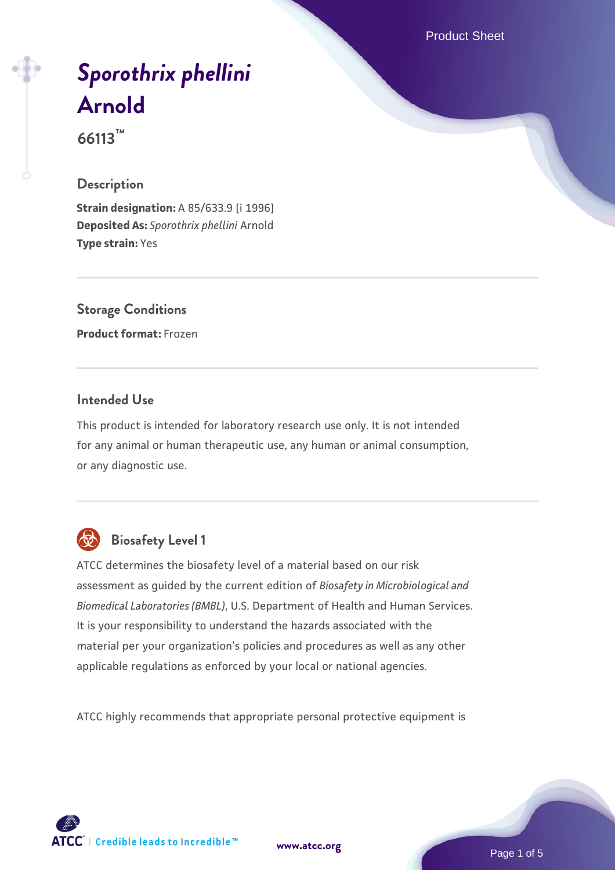Product Sheet

# *[Sporothrix phellini](https://www.atcc.org/products/66113)* **[Arnold](https://www.atcc.org/products/66113)**

**66113™**

# **Description**

**Strain designation:** A 85/633.9 [i 1996] **Deposited As:** *Sporothrix phellini* Arnold **Type strain:** Yes

**Storage Conditions Product format:** Frozen

# **Intended Use**

This product is intended for laboratory research use only. It is not intended for any animal or human therapeutic use, any human or animal consumption, or any diagnostic use.



# **Biosafety Level 1**

ATCC determines the biosafety level of a material based on our risk assessment as guided by the current edition of *Biosafety in Microbiological and Biomedical Laboratories (BMBL)*, U.S. Department of Health and Human Services. It is your responsibility to understand the hazards associated with the material per your organization's policies and procedures as well as any other applicable regulations as enforced by your local or national agencies.

ATCC highly recommends that appropriate personal protective equipment is

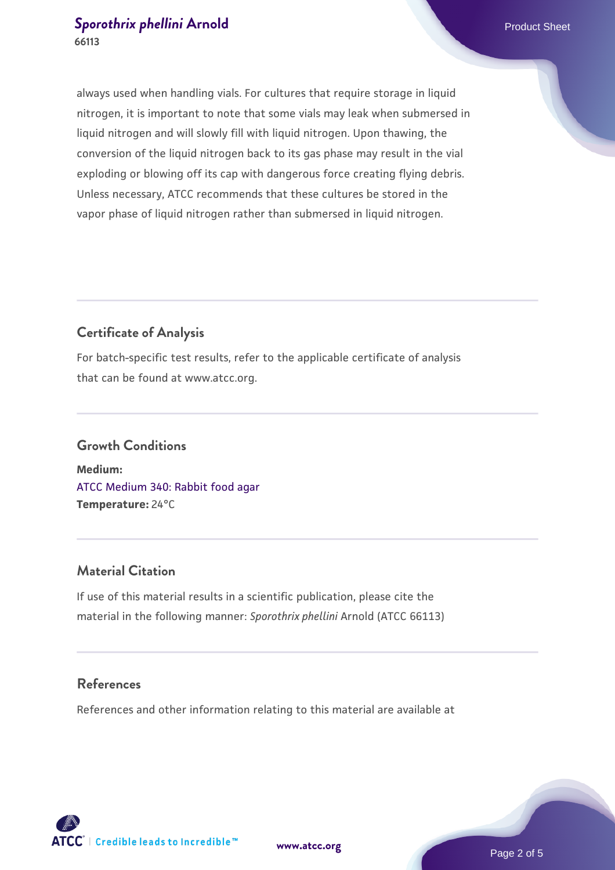# **[Sporothrix phellini](https://www.atcc.org/products/66113) [Arnold](https://www.atcc.org/products/66113)** Product Sheet **66113**

always used when handling vials. For cultures that require storage in liquid nitrogen, it is important to note that some vials may leak when submersed in liquid nitrogen and will slowly fill with liquid nitrogen. Upon thawing, the conversion of the liquid nitrogen back to its gas phase may result in the vial exploding or blowing off its cap with dangerous force creating flying debris. Unless necessary, ATCC recommends that these cultures be stored in the vapor phase of liquid nitrogen rather than submersed in liquid nitrogen.

# **Certificate of Analysis**

For batch-specific test results, refer to the applicable certificate of analysis that can be found at www.atcc.org.

# **Growth Conditions Medium:**  [ATCC Medium 340: Rabbit food agar](https://www.atcc.org/-/media/product-assets/documents/microbial-media-formulations/3/4/0/atcc-medium-340.pdf?rev=254676f4d142497b89e898c48f4ebfc9) **Temperature:** 24°C

# **Material Citation**

If use of this material results in a scientific publication, please cite the material in the following manner: *Sporothrix phellini* Arnold (ATCC 66113)

# **References**

References and other information relating to this material are available at

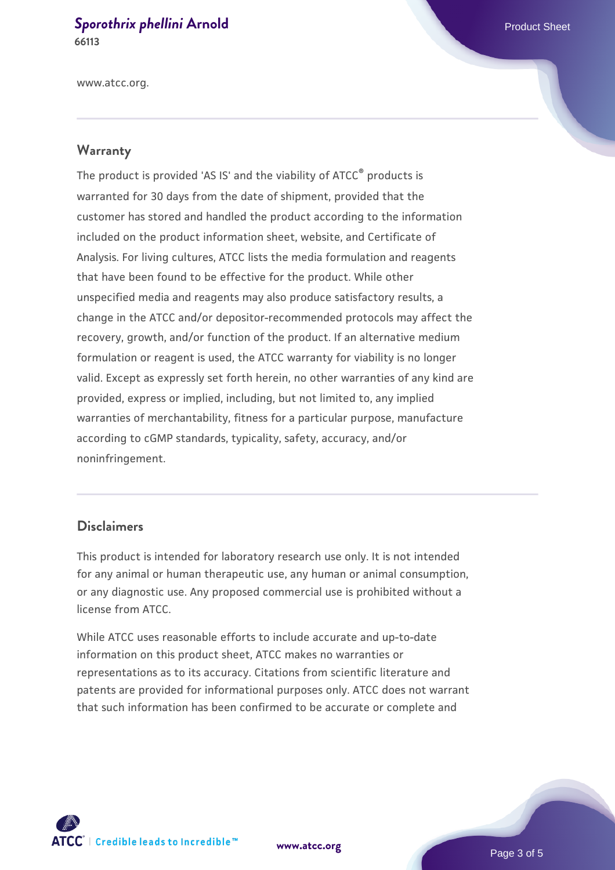#### **[Sporothrix phellini](https://www.atcc.org/products/66113) [Arnold](https://www.atcc.org/products/66113)** Product Sheet **66113**

www.atcc.org.

#### **Warranty**

The product is provided 'AS IS' and the viability of ATCC® products is warranted for 30 days from the date of shipment, provided that the customer has stored and handled the product according to the information included on the product information sheet, website, and Certificate of Analysis. For living cultures, ATCC lists the media formulation and reagents that have been found to be effective for the product. While other unspecified media and reagents may also produce satisfactory results, a change in the ATCC and/or depositor-recommended protocols may affect the recovery, growth, and/or function of the product. If an alternative medium formulation or reagent is used, the ATCC warranty for viability is no longer valid. Except as expressly set forth herein, no other warranties of any kind are provided, express or implied, including, but not limited to, any implied warranties of merchantability, fitness for a particular purpose, manufacture according to cGMP standards, typicality, safety, accuracy, and/or noninfringement.

#### **Disclaimers**

This product is intended for laboratory research use only. It is not intended for any animal or human therapeutic use, any human or animal consumption, or any diagnostic use. Any proposed commercial use is prohibited without a license from ATCC.

While ATCC uses reasonable efforts to include accurate and up-to-date information on this product sheet, ATCC makes no warranties or representations as to its accuracy. Citations from scientific literature and patents are provided for informational purposes only. ATCC does not warrant that such information has been confirmed to be accurate or complete and



**[www.atcc.org](http://www.atcc.org)**

Page 3 of 5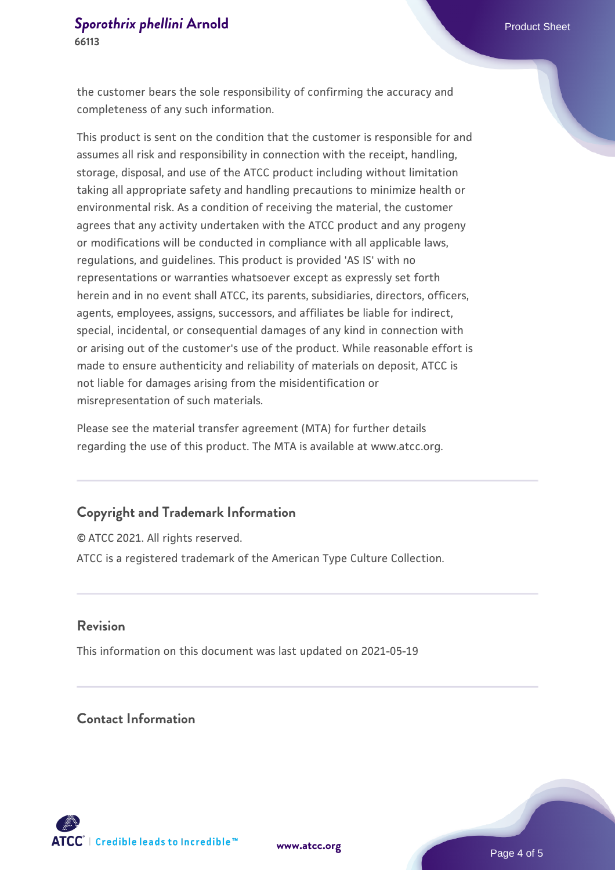### **[Sporothrix phellini](https://www.atcc.org/products/66113) [Arnold](https://www.atcc.org/products/66113)** Product Sheet **66113**

the customer bears the sole responsibility of confirming the accuracy and completeness of any such information.

This product is sent on the condition that the customer is responsible for and assumes all risk and responsibility in connection with the receipt, handling, storage, disposal, and use of the ATCC product including without limitation taking all appropriate safety and handling precautions to minimize health or environmental risk. As a condition of receiving the material, the customer agrees that any activity undertaken with the ATCC product and any progeny or modifications will be conducted in compliance with all applicable laws, regulations, and guidelines. This product is provided 'AS IS' with no representations or warranties whatsoever except as expressly set forth herein and in no event shall ATCC, its parents, subsidiaries, directors, officers, agents, employees, assigns, successors, and affiliates be liable for indirect, special, incidental, or consequential damages of any kind in connection with or arising out of the customer's use of the product. While reasonable effort is made to ensure authenticity and reliability of materials on deposit, ATCC is not liable for damages arising from the misidentification or misrepresentation of such materials.

Please see the material transfer agreement (MTA) for further details regarding the use of this product. The MTA is available at www.atcc.org.

## **Copyright and Trademark Information**

© ATCC 2021. All rights reserved. ATCC is a registered trademark of the American Type Culture Collection.

#### **Revision**

This information on this document was last updated on 2021-05-19

# **Contact Information**